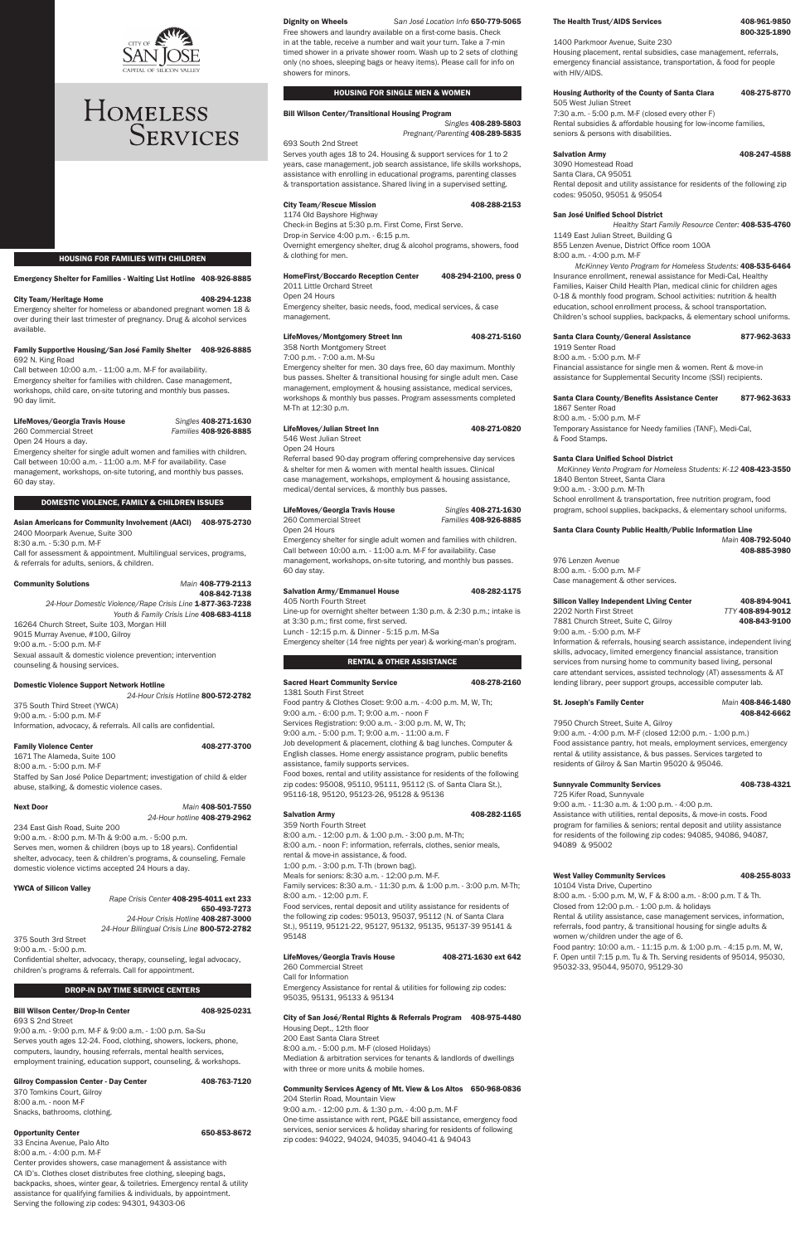

# HOMELESS SERVICES

HOUSING FOR FAMILIES WITH CHILDREN

#### Emergency Shelter for Families - Waiting List Hotline 408-926-8885

#### City Team/Heritage Home 408-294-1238

Emergency shelter for homeless or abandoned pregnant women 18 & over during their last trimester of pregnancy. Drug & alcohol services available.

#### Family Supportive Housing/San José Family Shelter 408-926-8885 692 N. King Road

Call between 10:00 a.m. - 11:00 a.m. M-F for availability. Emergency shelter for families with children. Case management, workshops, child care, on-site tutoring and monthly bus passes. 90 day limit.

#### LifeMoves/Georgia Travis House Singles 408-271-1630

# 260 Commercial Street Families 408-926-8885

Open 24 Hours a day.

Emergency shelter for single adult women and families with children. Call between 10:00 a.m. - 11:00 a.m. M-F for availability. Case management, workshops, on-site tutoring, and monthly bus passes. 60 day stay.

#### DOMESTIC VIOLENCE, FAMILY & CHILDREN ISSUES

#### Asian Americans for Community Involvement (AACI) 408-975-2730 2400 Moorpark Avenue, Suite 300

8:30 a.m. - 5:30 p.m. M-F

Call for assessment & appointment. Multilingual services, programs, & referrals for adults, seniors, & children.

#### Community Solutions Main 408-779-2113

#### 24-Hour Crisis Hotline 408-287-3000 24-Hour Bilingual Crisis Line 800-572-2782

#### Bill Wilson Center/Drop-In Center 408-925-0231 693 S 2nd Street

408-842-7138 24-Hour Domestic Violence/Rape Crisis Line 1-877-363-7238 Youth & Family Crisis Line 408-683-4118 16264 Church Street, Suite 103, Morgan Hill 9015 Murray Avenue, #100, Gilroy 9:00 a.m. - 5:00 p.m. M-F Sexual assault & domestic violence prevention; intervention counseling & housing services.

| <b>Gilroy Compassion Center - Day Center</b> | 408-763-7120 |
|----------------------------------------------|--------------|
| 370 Tomkins Court, Gilrov                    |              |
| 8:00 a.m. - noon M-F                         |              |
| Snacks, bathrooms, clothing,                 |              |
|                                              |              |

#### Opportunity Center 650-853-8672

### Domestic Violence Support Network Hotline

24-Hour Crisis Hotline 800-572-2782 375 South Third Street (YWCA) 9:00 a.m. - 5:00 p.m. M-F Information, advocacy, & referrals. All calls are confidential.

#### Family Violence Center **1988** 277-3700

1671 The Alameda, Suite 100 8:00 a.m. - 5:00 p.m. M-F Staffed by San José Police Department; investigation of child & elder abuse, stalking, & domestic violence cases.

#### **Next Door**

| Main 408-501-7550            |  |
|------------------------------|--|
| 24-Hour hotline 408-279-2962 |  |

Serves youth ages 18 to 24. Housing & support services for 1 to 2 years, case management, job search assistance, life skills workshops, assistance with enrolling in educational programs, parenting classes & transportation assistance. Shared living in a supervised setting.

### City Team/Rescue Mission 408-288-2153

234 East Gish Road, Suite 200 9:00 a.m. - 8:00 p.m. M-Th & 9:00 a.m. - 5:00 p.m. Serves men, women & children (boys up to 18 years). Confidential shelter, advocacy, teen & children's programs, & counseling. Female domestic violence victims accepted 24 Hours a day.

# YWCA of Silicon Valley

Rape Crisis Center 408-295-4011 ext 233 650-493-7273

#### Dignity on Wheels San José Location Info 650-779-5065

#### LifeMoves/Montgomery Street Inn 408-271-5160 358 North Montgomery Street

375 South 3rd Street

9:00 a.m. - 5:00 p.m.

Confidential shelter, advocacy, therapy, counseling, legal advocacy, children's programs & referrals. Call for appointment.

#### DROP-IN DAY TIME SERVICE CENTERS

9:00 a.m. - 9:00 p.m. M-F & 9:00 a.m. - 1:00 p.m. Sa-Su Serves youth ages 12-24. Food, clothing, showers, lockers, phone, computers, laundry, housing referrals, mental health services, employment training, education support, counseling, & workshops.

33 Encina Avenue, Palo Alto 8:00 a.m. - 4:00 p.m. M-F

Center provides showers, case management & assistance with CA ID's. Clothes closet distributes free clothing, sleeping bags, backpacks, shoes, winter gear, & toiletries. Emergency rental & utility assistance for qualifying families & individuals, by appointment. Serving the following zip codes: 94301, 94303-06

Free showers and laundry available on a first-come basis. Check in at the table, receive a number and wait your turn. Take a 7-min timed shower in a private shower room. Wash up to 2 sets of clothing only (no shoes, sleeping bags or heavy items). Please call for info on showers for minors.

#### HOUSING FOR SINGLE MEN & WOMEN

# Bill Wilson Center/Transitional Housing Program

Singles 408-289-5803 Pregnant/Parenting 408-289-5835

693 South 2nd Street

1174 Old Bayshore Highway Check-in Begins at 5:30 p.m. First Come, First Serve.

Drop-in Service 4:00 p.m. - 6:15 p.m.

Overnight emergency shelter, drug & alcohol programs, showers, food & clothing for men.

#### HomeFirst/Boccardo Reception Center 408-294-2100, press 0

2011 Little Orchard Street

Open 24 Hours Emergency shelter, basic needs, food, medical services, & case

management.

7:00 p.m. - 7:00 a.m. M-Su

Emergency shelter for men. 30 days free, 60 day maximum. Monthly bus passes. Shelter & transitional housing for single adult men. Case management, employment & housing assistance, medical services, workshops & monthly bus passes. Program assessments completed M-Th at 12:30 p.m.

#### LifeMoves/Julian Street Inn 408-271-0820

546 West Julian Street

Open 24 Hours

2202 North First Street TTY 408-894-9012 7881 Church Street, Suite C, Gilroy 408-843-9100 9:00 a.m. - 5:00 p.m. M-F

Referral based 90-day program offering comprehensive day services & shelter for men & women with mental health issues. Clinical case management, workshops, employment & housing assistance, medical/dental services, & monthly bus passes.

#### LifeMoves/Georgia Travis House Singles 408-271-1630

260 Commercial Street Families 408-926-8885

Open 24 Hours

Emergency shelter for single adult women and families with children. Call between 10:00 a.m. - 11:00 a.m. M-F for availability. Case management, workshops, on-site tutoring, and monthly bus passes. 60 day stay.

#### Salvation Army/Emmanuel House 408-282-1175

#### West Valley Community Services 408-255-8033 10104 Vista Drive, Cupertino

405 North Fourth Street

Line-up for overnight shelter between 1:30 p.m. & 2:30 p.m.; intake is

at 3:30 p.m.; first come, first served. Lunch - 12:15 p.m. & Dinner - 5:15 p.m. M-Sa

Emergency shelter (14 free nights per year) & working-man's program.

# RENTAL & OTHER ASSISTANCE

| <b>Sacred Heart Community Service</b>                                    | 408-278-2160 |
|--------------------------------------------------------------------------|--------------|
| 1381 South First Street                                                  |              |
| Food pantry & Clothes Closet: 9:00 a.m. - 4:00 p.m. M, W, Th;            |              |
| 9:00 a.m. - 6:00 p.m. T; 9:00 a.m. - noon F                              |              |
| Services Registration: 9:00 a.m. - 3:00 p.m. M, W, Th;                   |              |
| 9:00 a.m. - 5:00 p.m. T; 9:00 a.m. - 11:00 a.m. F                        |              |
| Job development & placement, clothing & bag lunches. Computer &          |              |
| English classes. Home energy assistance program, public benefits         |              |
| assistance, family supports services.                                    |              |
| Food boxes, rental and utility assistance for residents of the following |              |
| zip codes: 95008, 95110, 95111, 95112 (S. of Santa Clara St.),           |              |
| 95116-18, 95120, 95123-26, 95128 & 95136                                 |              |
|                                                                          |              |
|                                                                          |              |

# Salvation Army 108-282-1165

359 North Fourth Street 8:00 a.m. - 12:00 p.m. & 1:00 p.m. - 3:00 p.m. M-Th; 8:00 a.m. - noon F: information, referrals, clothes, senior meals, rental & move-in assistance, & food. 1:00 p.m. - 3:00 p.m. T-Th (brown bag). Meals for seniors: 8:30 a.m. - 12:00 p.m. M-F.

Family services: 8:30 a.m. - 11:30 p.m. & 1:00 p.m. - 3:00 p.m. M-Th; 8:00 a.m. - 12:00 p.m. F. Food services, rental deposit and utility assistance for residents of

### The Health Trust/AIDS Services 408-961-9850

the following zip codes: 95013, 95037, 95112 (N. of Santa Clara St.), 95119, 95121-22, 95127, 95132, 95135, 95137-39 95141 & 95148

#### LifeMoves/Georgia Travis House 408-271-1630 ext 642

260 Commercial Street Call for Information Emergency Assistance for rental & utilities for following zip codes: 95035, 95131, 95133 & 95134

#### City of San José/Rental Rights & Referrals Program 408-975-4480

Housing Dept., 12th floor 200 East Santa Clara Street 8:00 a.m. - 5:00 p.m. M-F (closed Holidays) Mediation & arbitration services for tenants & landlords of dwellings with three or more units & mobile homes.

#### Community Services Agency of Mt. View & Los Altos 650-968-0836

204 Sterlin Road, Mountain View 9:00 a.m. - 12:00 p.m. & 1:30 p.m. - 4:00 p.m. M-F One-time assistance with rent, PG&E bill assistance, emergency food services, senior services & holiday sharing for residents of following zip codes: 94022, 94024, 94035, 94040-41 & 94043

800-325-1890

#### 1400 Parkmoor Avenue, Suite 230

Housing placement, rental subsidies, case management, referrals, emergency financial assistance, transportation, & food for people with HIV/AIDS.

# Housing Authority of the County of Santa Clara 408-275-8770

505 West Julian Street 7:30 a.m. - 5:00 p.m. M-F (closed every other F) Rental subsidies & affordable housing for low-income families, seniors & persons with disabilities.

Salvation Army 108-247-4588

3090 Homestead Road Santa Clara, CA 95051 Rental deposit and utility assistance for residents of the following zip codes: 95050, 95051 & 95054

### San José Unified School District

Healthy Start Family Resource Center: 408-535-4760 1149 East Julian Street, Building G 855 Lenzen Avenue, District Office room 100A 8:00 a.m. - 4:00 p.m. M-F

McKinney Vento Program for Homeless Students: 408-535-6464 Insurance enrollment, renewal assistance for Medi-Cal, Healthy Families, Kaiser Child Health Plan, medical clinic for children ages 0-18 & monthly food program. School activities: nutrition & health education, school enrollment process, & school transportation. Children's school supplies, backpacks, & elementary school uniforms.

# Santa Clara County/General Assistance 877-962-3633

1919 Senter Road 8:00 a.m. - 5:00 p.m. M-F Financial assistance for single men & women. Rent & move-in assistance for Supplemental Security Income (SSI) recipients.

# Santa Clara County/Benefits Assistance Center 877-962-3633

1867 Senter Road 8:00 a.m. - 5:00 p.m. M-F Temporary Assistance for Needy families (TANF), Medi-Cal, & Food Stamps.

#### Santa Clara Unified School District

McKinney Vento Program for Homeless Students: K-12 408-423-3550 1840 Benton Street, Santa Clara 9:00 a.m. - 3:00 p.m. M-Th School enrollment & transportation, free nutrition program, food program, school supplies, backpacks, & elementary school uniforms.

# Santa Clara County Public Health/Public Information Line

Main 408-792-5040 408-885-3980

976 Lenzen Avenue 8:00 a.m. - 5:00 p.m. M-F Case management & other services.

# Silicon Valley Independent Living Center 408-894-9041

Information & referrals, housing search assistance, independent living skills, advocacy, limited emergency financial assistance, transition services from nursing home to community based living, personal care attendant services, assisted technology (AT) assessments & AT lending library, peer support groups, accessible computer lab.

#### St. Joseph's Family Center Main 408-846-1480

408-842-6662

7950 Church Street, Suite A, Gilroy 9:00 a.m. - 4:00 p.m. M-F (closed 12:00 p.m. - 1:00 p.m.) Food assistance pantry, hot meals, employment services, emergency rental & utility assistance, & bus passes. Services targeted to residents of Gilroy & San Martin 95020 & 95046.

# Sunnyvale Community Services 408-738-4321

725 Kifer Road, Sunnyvale 9:00 a.m. - 11:30 a.m. & 1:00 p.m. - 4:00 p.m.

Assistance with utilities, rental deposits, & move-in costs. Food program for families & seniors; rental deposit and utility assistance for residents of the following zip codes: 94085, 94086, 94087, 94089 & 95002

8:00 a.m. - 5:00 p.m. M, W, F & 8:00 a.m. - 8:00 p.m. T & Th. Closed from 12:00 p.m. - 1:00 p.m. & holidays Rental & utility assistance, case management services, information, referrals, food pantry, & transitional housing for single adults & women w/children under the age of 6. Food pantry: 10:00 a.m. - 11:15 p.m. & 1:00 p.m. - 4:15 p.m. M, W, F. Open until 7:15 p.m. Tu & Th. Serving residents of 95014, 95030, 95032-33, 95044, 95070, 95129-30